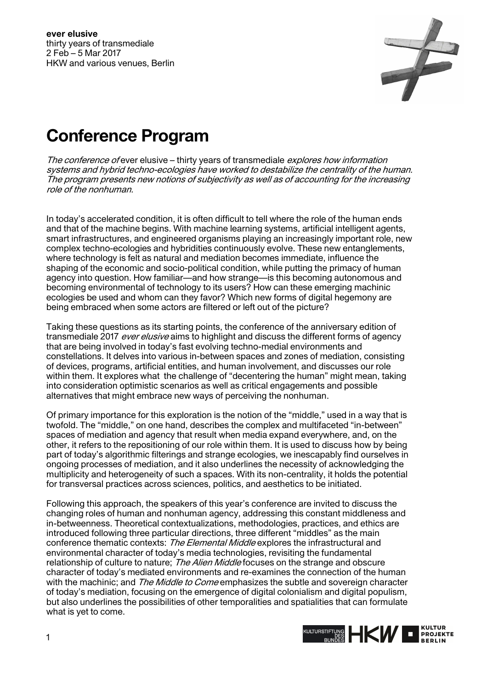

## **Conference Program**

The conference of ever elusive – thirty years of transmediale explores how information systems and hybrid techno-ecologies have worked to destabilize the centrality of the human. The program presents new notions of subjectivity as well as of accounting for the increasing role of the nonhuman.

In today's accelerated condition, it is often difficult to tell where the role of the human ends and that of the machine begins. With machine learning systems, artificial intelligent agents, smart infrastructures, and engineered organisms playing an increasingly important role, new complex techno-ecologies and hybridities continuously evolve. These new entanglements, where technology is felt as natural and mediation becomes immediate, influence the shaping of the economic and socio-political condition, while putting the primacy of human agency into question. How familiar—and how strange—is this becoming autonomous and becoming environmental of technology to its users? How can these emerging machinic ecologies be used and whom can they favor? Which new forms of digital hegemony are being embraced when some actors are filtered or left out of the picture?

Taking these questions as its starting points, the conference of the anniversary edition of transmediale 2017 *ever elusive* aims to highlight and discuss the different forms of agency that are being involved in today's fast evolving techno-medial environments and constellations. It delves into various in-between spaces and zones of mediation, consisting of devices, programs, artificial entities, and human involvement, and discusses our role within them. It explores what the challenge of "decentering the human" might mean, taking into consideration optimistic scenarios as well as critical engagements and possible alternatives that might embrace new ways of perceiving the nonhuman.

Of primary importance for this exploration is the notion of the "middle," used in a way that is twofold. The "middle," on one hand, describes the complex and multifaceted "in-between" spaces of mediation and agency that result when media expand everywhere, and, on the other, it refers to the repositioning of our role within them. It is used to discuss how by being part of today's algorithmic filterings and strange ecologies, we inescapably find ourselves in ongoing processes of mediation, and it also underlines the necessity of acknowledging the multiplicity and heterogeneity of such a spaces. With its non-centrality, it holds the potential for transversal practices across sciences, politics, and aesthetics to be initiated.

Following this approach, the speakers of this year's conference are invited to discuss the changing roles of human and nonhuman agency, addressing this constant middleness and in-betweenness. Theoretical contextualizations, methodologies, practices, and ethics are introduced following three particular directions, three different "middles" as the main conference thematic contexts: The Elemental Middle explores the infrastructural and environmental character of today's media technologies, revisiting the fundamental relationship of culture to nature; *The Alien Middle* focuses on the strange and obscure character of today's mediated environments and re-examines the connection of the human with the machinic; and The Middle to Come emphasizes the subtle and sovereign character of today's mediation, focusing on the emergence of digital colonialism and digital populism, but also underlines the possibilities of other temporalities and spatialities that can formulate what is yet to come.